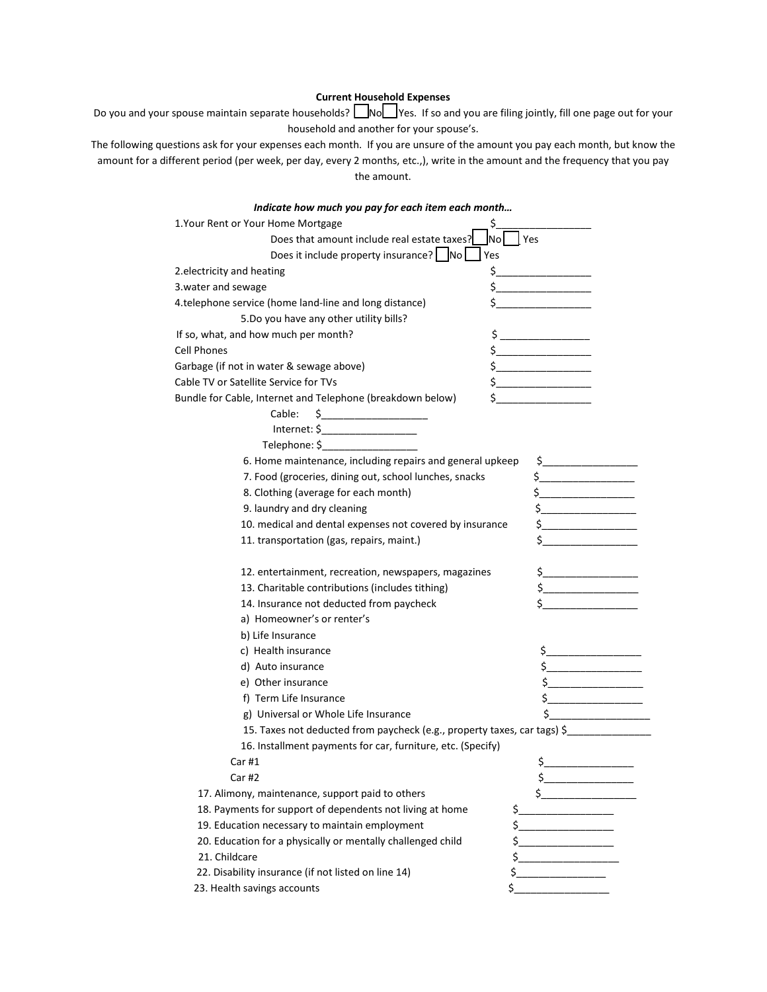## **Current Household Expenses**

Do you and your spouse maintain separate households? NoN Yes. If so and you are filing jointly, fill one page out for your household and another for your spouse's.

The following questions ask for your expenses each month. If you are unsure of the amount you pay each month, but know the amount for a different period (per week, per day, every 2 months, etc.,), write in the amount and the frequency that you pay the amount.

| Indicate how much you pay for each item each month                                                                                                                                                                                                                                                                                                  |
|-----------------------------------------------------------------------------------------------------------------------------------------------------------------------------------------------------------------------------------------------------------------------------------------------------------------------------------------------------|
|                                                                                                                                                                                                                                                                                                                                                     |
| <b>No</b><br>Yes                                                                                                                                                                                                                                                                                                                                    |
|                                                                                                                                                                                                                                                                                                                                                     |
|                                                                                                                                                                                                                                                                                                                                                     |
| $\frac{1}{2}$                                                                                                                                                                                                                                                                                                                                       |
|                                                                                                                                                                                                                                                                                                                                                     |
|                                                                                                                                                                                                                                                                                                                                                     |
| $\zeta$                                                                                                                                                                                                                                                                                                                                             |
| $\frac{1}{2}$                                                                                                                                                                                                                                                                                                                                       |
| $\frac{1}{2}$                                                                                                                                                                                                                                                                                                                                       |
| $\frac{1}{2}$                                                                                                                                                                                                                                                                                                                                       |
| $\frac{1}{2}$ $\frac{1}{2}$ $\frac{1}{2}$ $\frac{1}{2}$ $\frac{1}{2}$ $\frac{1}{2}$ $\frac{1}{2}$ $\frac{1}{2}$ $\frac{1}{2}$ $\frac{1}{2}$ $\frac{1}{2}$ $\frac{1}{2}$ $\frac{1}{2}$ $\frac{1}{2}$ $\frac{1}{2}$ $\frac{1}{2}$ $\frac{1}{2}$ $\frac{1}{2}$ $\frac{1}{2}$ $\frac{1}{2}$ $\frac{1}{2}$ $\frac{1}{2}$                                 |
|                                                                                                                                                                                                                                                                                                                                                     |
|                                                                                                                                                                                                                                                                                                                                                     |
|                                                                                                                                                                                                                                                                                                                                                     |
| 6. Home maintenance, including repairs and general upkeep<br>$\zeta$ and $\zeta$                                                                                                                                                                                                                                                                    |
| $\frac{1}{2}$                                                                                                                                                                                                                                                                                                                                       |
| \$.<br><u> 1989 - Johann Barbara, martin a</u>                                                                                                                                                                                                                                                                                                      |
| $\zeta$ and $\zeta$                                                                                                                                                                                                                                                                                                                                 |
| 10. medical and dental expenses not covered by insurance<br>$\frac{1}{2}$                                                                                                                                                                                                                                                                           |
| \$                                                                                                                                                                                                                                                                                                                                                  |
| $\frac{1}{2}$                                                                                                                                                                                                                                                                                                                                       |
| $\frac{1}{2}$                                                                                                                                                                                                                                                                                                                                       |
| $\frac{1}{2}$                                                                                                                                                                                                                                                                                                                                       |
|                                                                                                                                                                                                                                                                                                                                                     |
|                                                                                                                                                                                                                                                                                                                                                     |
|                                                                                                                                                                                                                                                                                                                                                     |
| $\frac{1}{2}$                                                                                                                                                                                                                                                                                                                                       |
| $\begin{picture}(20,10) \put(0,0){\line(1,0){10}} \put(15,0){\line(1,0){10}} \put(15,0){\line(1,0){10}} \put(15,0){\line(1,0){10}} \put(15,0){\line(1,0){10}} \put(15,0){\line(1,0){10}} \put(15,0){\line(1,0){10}} \put(15,0){\line(1,0){10}} \put(15,0){\line(1,0){10}} \put(15,0){\line(1,0){10}} \put(15,0){\line(1,0){10}} \put(15,0){\line(1$ |
| $\frac{1}{2}$                                                                                                                                                                                                                                                                                                                                       |
| \$                                                                                                                                                                                                                                                                                                                                                  |
| 15. Taxes not deducted from paycheck (e.g., property taxes, car tags) \$                                                                                                                                                                                                                                                                            |
|                                                                                                                                                                                                                                                                                                                                                     |
| \$.                                                                                                                                                                                                                                                                                                                                                 |
| $\frac{1}{2}$                                                                                                                                                                                                                                                                                                                                       |
| $\frac{1}{2}$                                                                                                                                                                                                                                                                                                                                       |
| \$_                                                                                                                                                                                                                                                                                                                                                 |
| \$_<br>the company of the company                                                                                                                                                                                                                                                                                                                   |
| \$                                                                                                                                                                                                                                                                                                                                                  |
| \$                                                                                                                                                                                                                                                                                                                                                  |
| \$                                                                                                                                                                                                                                                                                                                                                  |
| \$                                                                                                                                                                                                                                                                                                                                                  |
|                                                                                                                                                                                                                                                                                                                                                     |